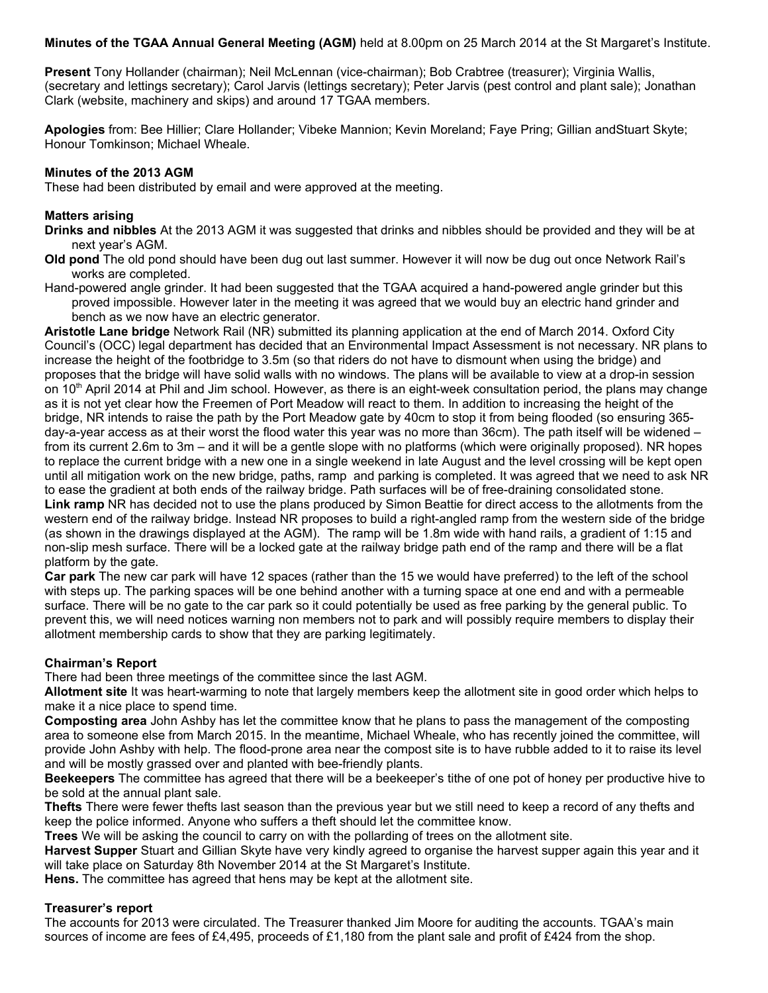**Minutes of the TGAA Annual General Meeting (AGM)** held at 8.00pm on 25 March 2014 at the St Margaret's Institute.

**Present** Tony Hollander (chairman); Neil McLennan (vice-chairman); Bob Crabtree (treasurer); Virginia Wallis, (secretary and lettings secretary); Carol Jarvis (lettings secretary); Peter Jarvis (pest control and plant sale); Jonathan Clark (website, machinery and skips) and around 17 TGAA members.

**Apologies** from: Bee Hillier; Clare Hollander; Vibeke Mannion; Kevin Moreland; Faye Pring; Gillian andStuart Skyte; Honour Tomkinson; Michael Wheale.

## **Minutes of the 2013 AGM**

These had been distributed by email and were approved at the meeting.

### **Matters arising**

**Drinks and nibbles** At the 2013 AGM it was suggested that drinks and nibbles should be provided and they will be at next year's AGM.

- **Old pond** The old pond should have been dug out last summer. However it will now be dug out once Network Rail's works are completed.
- Hand-powered angle grinder. It had been suggested that the TGAA acquired a hand-powered angle grinder but this proved impossible. However later in the meeting it was agreed that we would buy an electric hand grinder and bench as we now have an electric generator.

**Aristotle Lane bridge** Network Rail (NR) submitted its planning application at the end of March 2014. Oxford City Council's (OCC) legal department has decided that an Environmental Impact Assessment is not necessary. NR plans to increase the height of the footbridge to 3.5m (so that riders do not have to dismount when using the bridge) and proposes that the bridge will have solid walls with no windows. The plans will be available to view at a drop-in session on  $10<sup>th</sup>$  April 2014 at Phil and Jim school. However, as there is an eight-week consultation period, the plans may change as it is not yet clear how the Freemen of Port Meadow will react to them. In addition to increasing the height of the bridge, NR intends to raise the path by the Port Meadow gate by 40cm to stop it from being flooded (so ensuring 365 day-a-year access as at their worst the flood water this year was no more than 36cm). The path itself will be widened – from its current 2.6m to 3m – and it will be a gentle slope with no platforms (which were originally proposed). NR hopes to replace the current bridge with a new one in a single weekend in late August and the level crossing will be kept open until all mitigation work on the new bridge, paths, ramp and parking is completed. It was agreed that we need to ask NR to ease the gradient at both ends of the railway bridge. Path surfaces will be of free-draining consolidated stone. **Link ramp** NR has decided not to use the plans produced by Simon Beattie for direct access to the allotments from the western end of the railway bridge. Instead NR proposes to build a right-angled ramp from the western side of the bridge (as shown in the drawings displayed at the AGM). The ramp will be 1.8m wide with hand rails, a gradient of 1:15 and non-slip mesh surface. There will be a locked gate at the railway bridge path end of the ramp and there will be a flat platform by the gate.

**Car park** The new car park will have 12 spaces (rather than the 15 we would have preferred) to the left of the school with steps up. The parking spaces will be one behind another with a turning space at one end and with a permeable surface. There will be no gate to the car park so it could potentially be used as free parking by the general public. To prevent this, we will need notices warning non members not to park and will possibly require members to display their allotment membership cards to show that they are parking legitimately.

### **Chairman's Report**

There had been three meetings of the committee since the last AGM.

**Allotment site** It was heart-warming to note that largely members keep the allotment site in good order which helps to make it a nice place to spend time.

**Composting area** John Ashby has let the committee know that he plans to pass the management of the composting area to someone else from March 2015. In the meantime, Michael Wheale, who has recently joined the committee, will provide John Ashby with help. The flood-prone area near the compost site is to have rubble added to it to raise its level and will be mostly grassed over and planted with bee-friendly plants.

**Beekeepers** The committee has agreed that there will be a beekeeper's tithe of one pot of honey per productive hive to be sold at the annual plant sale.

**Thefts** There were fewer thefts last season than the previous year but we still need to keep a record of any thefts and keep the police informed. Anyone who suffers a theft should let the committee know.

**Trees** We will be asking the council to carry on with the pollarding of trees on the allotment site.

**Harvest Supper** Stuart and Gillian Skyte have very kindly agreed to organise the harvest supper again this year and it will take place on Saturday 8th November 2014 at the St Margaret's Institute.

**Hens.** The committee has agreed that hens may be kept at the allotment site.

### **Treasurer's report**

The accounts for 2013 were circulated. The Treasurer thanked Jim Moore for auditing the accounts. TGAA's main sources of income are fees of £4,495, proceeds of £1,180 from the plant sale and profit of £424 from the shop.